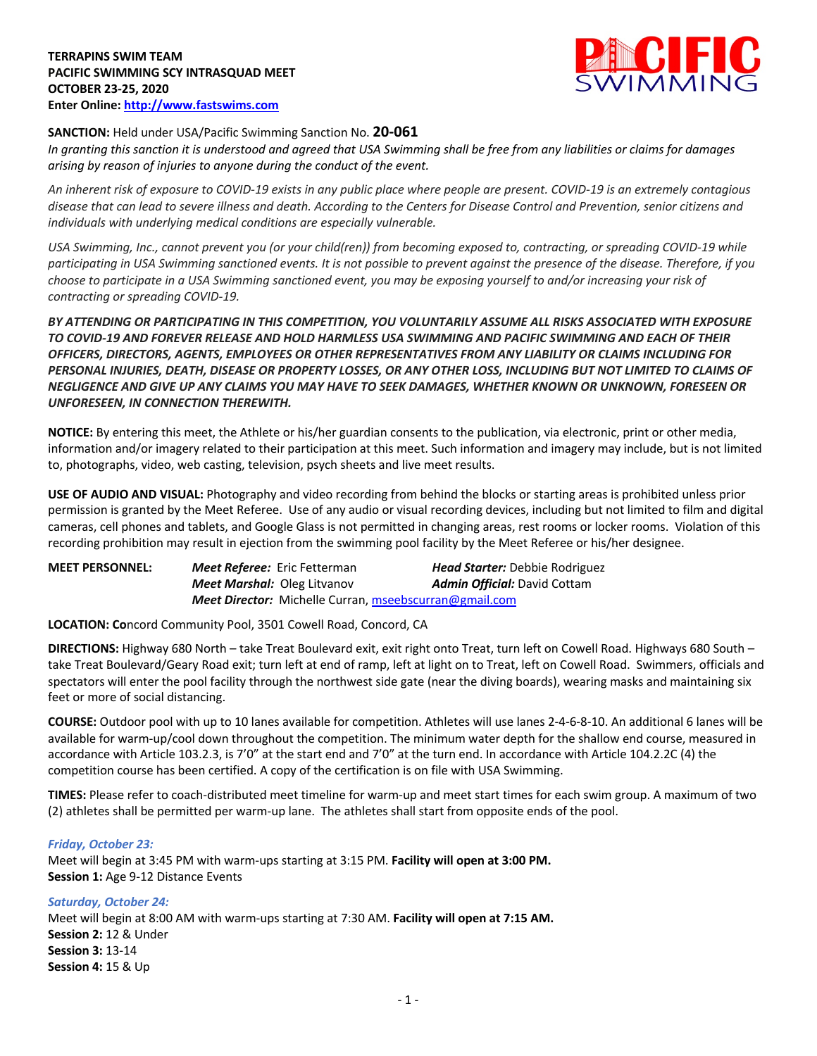

# **SANCTION:** Held under USA/Pacific Swimming Sanction No. **20-061**

*In granting this sanction it is understood and agreed that USA Swimming shall be free from any liabilities or claims for damages arising by reason of injuries to anyone during the conduct of the event.* 

*An inherent risk of exposure to COVID-19 exists in any public place where people are present. COVID-19 is an extremely contagious disease that can lead to severe illness and death. According to the Centers for Disease Control and Prevention, senior citizens and individuals with underlying medical conditions are especially vulnerable.*

*USA Swimming, Inc., cannot prevent you (or your child(ren)) from becoming exposed to, contracting, or spreading COVID-19 while participating in USA Swimming sanctioned events. It is not possible to prevent against the presence of the disease. Therefore, if you choose to participate in a USA Swimming sanctioned event, you may be exposing yourself to and/or increasing your risk of contracting or spreading COVID-19.*

*BY ATTENDING OR PARTICIPATING IN THIS COMPETITION, YOU VOLUNTARILY ASSUME ALL RISKS ASSOCIATED WITH EXPOSURE TO COVID-19 AND FOREVER RELEASE AND HOLD HARMLESS USA SWIMMING AND PACIFIC SWIMMING AND EACH OF THEIR OFFICERS, DIRECTORS, AGENTS, EMPLOYEES OR OTHER REPRESENTATIVES FROM ANY LIABILITY OR CLAIMS INCLUDING FOR PERSONAL INJURIES, DEATH, DISEASE OR PROPERTY LOSSES, OR ANY OTHER LOSS, INCLUDING BUT NOT LIMITED TO CLAIMS OF NEGLIGENCE AND GIVE UP ANY CLAIMS YOU MAY HAVE TO SEEK DAMAGES, WHETHER KNOWN OR UNKNOWN, FORESEEN OR UNFORESEEN, IN CONNECTION THEREWITH.*

**NOTICE:** By entering this meet, the Athlete or his/her guardian consents to the publication, via electronic, print or other media, information and/or imagery related to their participation at this meet. Such information and imagery may include, but is not limited to, photographs, video, web casting, television, psych sheets and live meet results.

**USE OF AUDIO AND VISUAL:** Photography and video recording from behind the blocks or starting areas is prohibited unless prior permission is granted by the Meet Referee. Use of any audio or visual recording devices, including but not limited to film and digital cameras, cell phones and tablets, and Google Glass is not permitted in changing areas, rest rooms or locker rooms. Violation of this recording prohibition may result in ejection from the swimming pool facility by the Meet Referee or his/her designee.

| <b>MEET PERSONNEL:</b> | <b>Meet Referee:</b> Eric Fetterman |                                                               | <b>Head Starter:</b> Debbie Rodriguez |
|------------------------|-------------------------------------|---------------------------------------------------------------|---------------------------------------|
|                        | <b>Meet Marshal: Oleg Litvanov</b>  |                                                               | <b>Admin Official:</b> David Cottam   |
|                        |                                     | <b>Meet Director:</b> Michelle Curran, mseebscurran@gmail.com |                                       |

**LOCATION: Co**ncord Community Pool, 3501 Cowell Road, Concord, CA

**DIRECTIONS:** Highway 680 North – take Treat Boulevard exit, exit right onto Treat, turn left on Cowell Road. Highways 680 South – take Treat Boulevard/Geary Road exit; turn left at end of ramp, left at light on to Treat, left on Cowell Road. Swimmers, officials and spectators will enter the pool facility through the northwest side gate (near the diving boards), wearing masks and maintaining six feet or more of social distancing.

**COURSE:** Outdoor pool with up to 10 lanes available for competition. Athletes will use lanes 2-4-6-8-10. An additional 6 lanes will be available for warm-up/cool down throughout the competition. The minimum water depth for the shallow end course, measured in accordance with Article 103.2.3, is 7'0" at the start end and 7'0" at the turn end. In accordance with Article 104.2.2C (4) the competition course has been certified. A copy of the certification is on file with USA Swimming.

**TIMES:** Please refer to coach-distributed meet timeline for warm-up and meet start times for each swim group. A maximum of two (2) athletes shall be permitted per warm-up lane. The athletes shall start from opposite ends of the pool.

## *Friday, October 23:*

Meet will begin at 3:45 PM with warm-ups starting at 3:15 PM. **Facility will open at 3:00 PM. Session 1:** Age 9-12 Distance Events

*Saturday, October 24:* Meet will begin at 8:00 AM with warm-ups starting at 7:30 AM. **Facility will open at 7:15 AM. Session 2:** 12 & Under **Session 3:** 13-14 **Session 4:** 15 & Up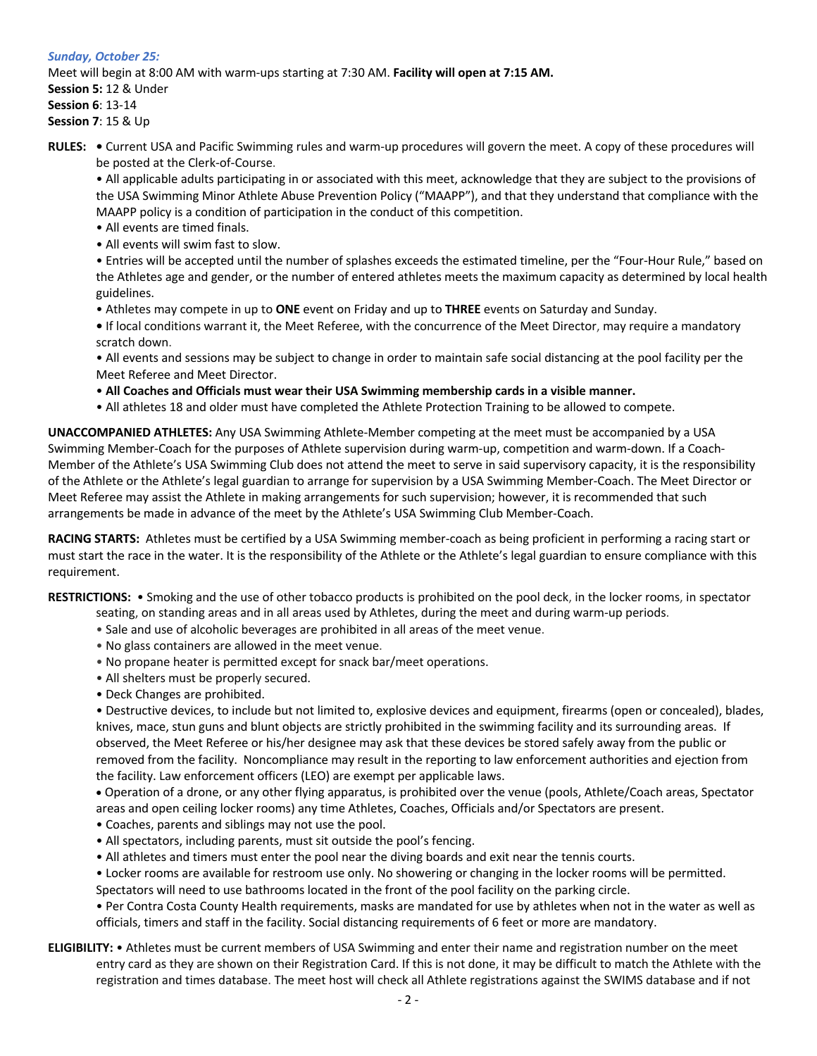# *Sunday, October 25:* Meet will begin at 8:00 AM with warm-ups starting at 7:30 AM. **Facility will open at 7:15 AM. Session 5:** 12 & Under **Session 6**: 13-14 **Session 7**: 15 & Up

**RULES: •** Current USA and Pacific Swimming rules and warm-up procedures will govern the meet. A copy of these procedures will be posted at the Clerk-of-Course.

• All applicable adults participating in or associated with this meet, acknowledge that they are subject to the provisions of the USA Swimming Minor Athlete Abuse Prevention Policy ("MAAPP"), and that they understand that compliance with the MAAPP policy is a condition of participation in the conduct of this competition.

- All events are timed finals.
- All events will swim fast to slow.

• Entries will be accepted until the number of splashes exceeds the estimated timeline, per the "Four-Hour Rule," based on the Athletes age and gender, or the number of entered athletes meets the maximum capacity as determined by local health guidelines.

• Athletes may compete in up to **ONE** event on Friday and up to **THREE** events on Saturday and Sunday.

**•** If local conditions warrant it, the Meet Referee, with the concurrence of the Meet Director, may require a mandatory scratch down.

• All events and sessions may be subject to change in order to maintain safe social distancing at the pool facility per the Meet Referee and Meet Director.

• **All Coaches and Officials must wear their USA Swimming membership cards in a visible manner.** 

• All athletes 18 and older must have completed the Athlete Protection Training to be allowed to compete.

**UNACCOMPANIED ATHLETES:** Any USA Swimming Athlete-Member competing at the meet must be accompanied by a USA Swimming Member-Coach for the purposes of Athlete supervision during warm-up, competition and warm-down. If a Coach-Member of the Athlete's USA Swimming Club does not attend the meet to serve in said supervisory capacity, it is the responsibility of the Athlete or the Athlete's legal guardian to arrange for supervision by a USA Swimming Member-Coach. The Meet Director or Meet Referee may assist the Athlete in making arrangements for such supervision; however, it is recommended that such arrangements be made in advance of the meet by the Athlete's USA Swimming Club Member-Coach.

**RACING STARTS:** Athletes must be certified by a USA Swimming member-coach as being proficient in performing a racing start or must start the race in the water. It is the responsibility of the Athlete or the Athlete's legal guardian to ensure compliance with this requirement.

**RESTRICTIONS:** • Smoking and the use of other tobacco products is prohibited on the pool deck, in the locker rooms, in spectator

- seating, on standing areas and in all areas used by Athletes, during the meet and during warm-up periods.
- Sale and use of alcoholic beverages are prohibited in all areas of the meet venue.
- No glass containers are allowed in the meet venue.
- No propane heater is permitted except for snack bar/meet operations.
- All shelters must be properly secured.
- Deck Changes are prohibited.

• Destructive devices, to include but not limited to, explosive devices and equipment, firearms (open or concealed), blades, knives, mace, stun guns and blunt objects are strictly prohibited in the swimming facility and its surrounding areas. If observed, the Meet Referee or his/her designee may ask that these devices be stored safely away from the public or removed from the facility. Noncompliance may result in the reporting to law enforcement authorities and ejection from the facility. Law enforcement officers (LEO) are exempt per applicable laws.

• Operation of a drone, or any other flying apparatus, is prohibited over the venue (pools, Athlete/Coach areas, Spectator areas and open ceiling locker rooms) any time Athletes, Coaches, Officials and/or Spectators are present.

- Coaches, parents and siblings may not use the pool.
- All spectators, including parents, must sit outside the pool's fencing.
- All athletes and timers must enter the pool near the diving boards and exit near the tennis courts.

• Locker rooms are available for restroom use only. No showering or changing in the locker rooms will be permitted. Spectators will need to use bathrooms located in the front of the pool facility on the parking circle.

• Per Contra Costa County Health requirements, masks are mandated for use by athletes when not in the water as well as officials, timers and staff in the facility. Social distancing requirements of 6 feet or more are mandatory.

# **ELIGIBILITY:** • Athletes must be current members of USA Swimming and enter their name and registration number on the meet entry card as they are shown on their Registration Card. If this is not done, it may be difficult to match the Athlete with the registration and times database. The meet host will check all Athlete registrations against the SWIMS database and if not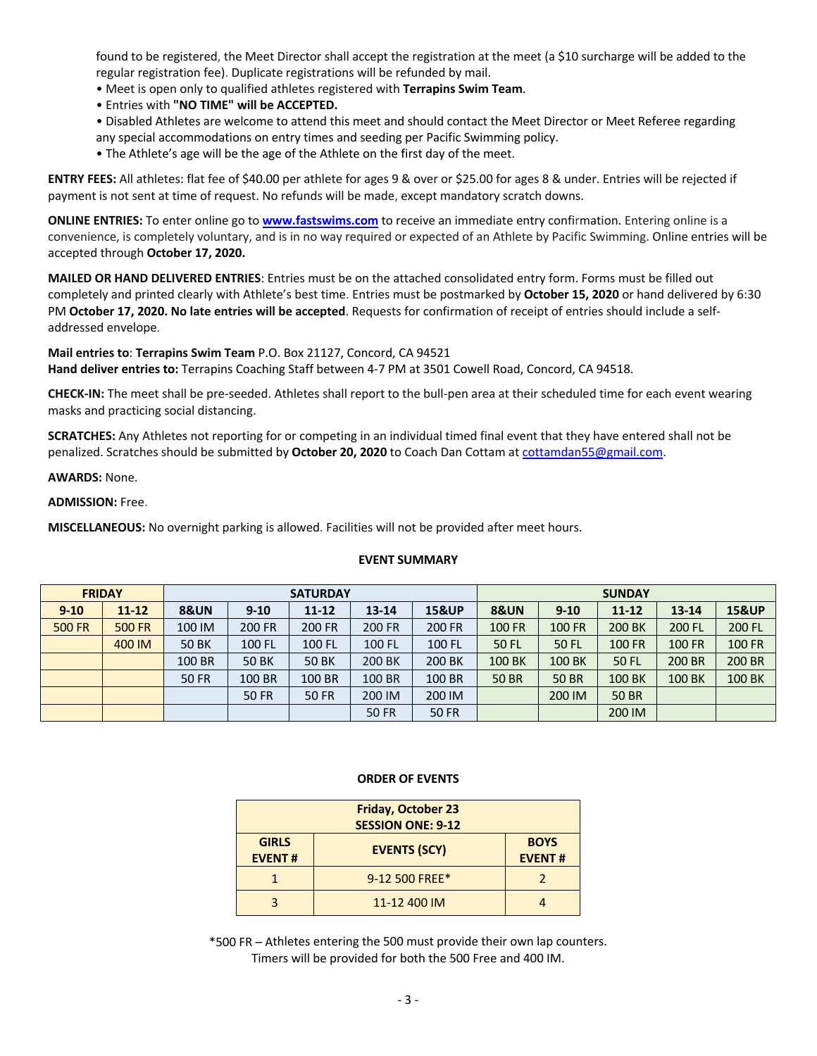found to be registered, the Meet Director shall accept the registration at the meet (a \$10 surcharge will be added to the regular registration fee). Duplicate registrations will be refunded by mail.

- Meet is open only to qualified athletes registered with **Terrapins Swim Team**.
- Entries with **"NO TIME" will be ACCEPTED.**
- Disabled Athletes are welcome to attend this meet and should contact the Meet Director or Meet Referee regarding any special accommodations on entry times and seeding per Pacific Swimming policy.
- The Athlete's age will be the age of the Athlete on the first day of the meet.

**ENTRY FEES:** All athletes: flat fee of \$40.00 per athlete for ages 9 & over or \$25.00 for ages 8 & under. Entries will be rejected if payment is not sent at time of request. No refunds will be made, except mandatory scratch downs.

**ONLINE ENTRIES:** To enter online go to **www.fastswims.com** to receive an immediate entry confirmation. Entering online is a convenience, is completely voluntary, and is in no way required or expected of an Athlete by Pacific Swimming. Online entries will be accepted through **October 17, 2020.**

**MAILED OR HAND DELIVERED ENTRIES**: Entries must be on the attached consolidated entry form. Forms must be filled out completely and printed clearly with Athlete's best time. Entries must be postmarked by **October 15, 2020** or hand delivered by 6:30 PM **October 17, 2020. No late entries will be accepted**. Requests for confirmation of receipt of entries should include a selfaddressed envelope.

**Mail entries to**: **Terrapins Swim Team** P.O. Box 21127, Concord, CA 94521 **Hand deliver entries to:** Terrapins Coaching Staff between 4-7 PM at 3501 Cowell Road, Concord, CA 94518.

**CHECK-IN:** The meet shall be pre-seeded. Athletes shall report to the bull-pen area at their scheduled time for each event wearing masks and practicing social distancing.

**SCRATCHES:** Any Athletes not reporting for or competing in an individual timed final event that they have entered shall not be penalized. Scratches should be submitted by **October 20, 2020** to Coach Dan Cottam at cottamdan55@gmail.com.

**AWARDS:** None.

## **ADMISSION:** Free.

**MISCELLANEOUS:** No overnight parking is allowed. Facilities will not be provided after meet hours.

## **EVENT SUMMARY**

|               | <b>FRIDAY</b> | <b>SATURDAY</b> |              |              | <b>SUNDAY</b> |                  |                 |               |               |               |                  |
|---------------|---------------|-----------------|--------------|--------------|---------------|------------------|-----------------|---------------|---------------|---------------|------------------|
| $9 - 10$      | $11 - 12$     | <b>8&amp;UN</b> | $9 - 10$     | $11 - 12$    | $13 - 14$     | <b>15&amp;UP</b> | <b>8&amp;UN</b> | $9 - 10$      | $11 - 12$     | $13 - 14$     | <b>15&amp;UP</b> |
| <b>500 FR</b> | <b>500 FR</b> | 100 IM          | 200 FR       | 200 FR       | <b>200 FR</b> | 200 FR           | <b>100 FR</b>   | <b>100 FR</b> | 200 BK        | 200 FL        | 200 FL           |
|               | 400 IM        | <b>50 BK</b>    | 100 FL       | 100 FL       | 100 FL        | 100 FL           | <b>50 FL</b>    | <b>50 FL</b>  | <b>100 FR</b> | <b>100 FR</b> | <b>100 FR</b>    |
|               |               | 100 BR          | <b>50 BK</b> | <b>50 BK</b> | 200 BK        | 200 BK           | 100 BK          | 100 BK        | <b>50 FL</b>  | 200 BR        | 200 BR           |
|               |               | <b>50 FR</b>    | 100 BR       | 100 BR       | 100 BR        | 100 BR           | <b>50 BR</b>    | <b>50 BR</b>  | 100 BK        | <b>100 BK</b> | <b>100 BK</b>    |
|               |               |                 | <b>50 FR</b> | <b>50 FR</b> | 200 IM        | 200 IM           |                 | 200 IM        | <b>50 BR</b>  |               |                  |
|               |               |                 |              |              | <b>50 FR</b>  | <b>50 FR</b>     |                 |               | 200 IM        |               |                  |

#### **ORDER OF EVENTS**

| <b>Friday, October 23</b><br><b>SESSION ONE: 9-12</b> |                     |                              |  |  |  |  |  |
|-------------------------------------------------------|---------------------|------------------------------|--|--|--|--|--|
| <b>GIRLS</b><br><b>EVENT#</b>                         | <b>EVENTS (SCY)</b> | <b>BOYS</b><br><b>EVENT#</b> |  |  |  |  |  |
|                                                       | 9-12 500 FREE*      |                              |  |  |  |  |  |
|                                                       | 11-12 400 IM        |                              |  |  |  |  |  |

\*500 FR – Athletes entering the 500 must provide their own lap counters. Timers will be provided for both the 500 Free and 400 IM.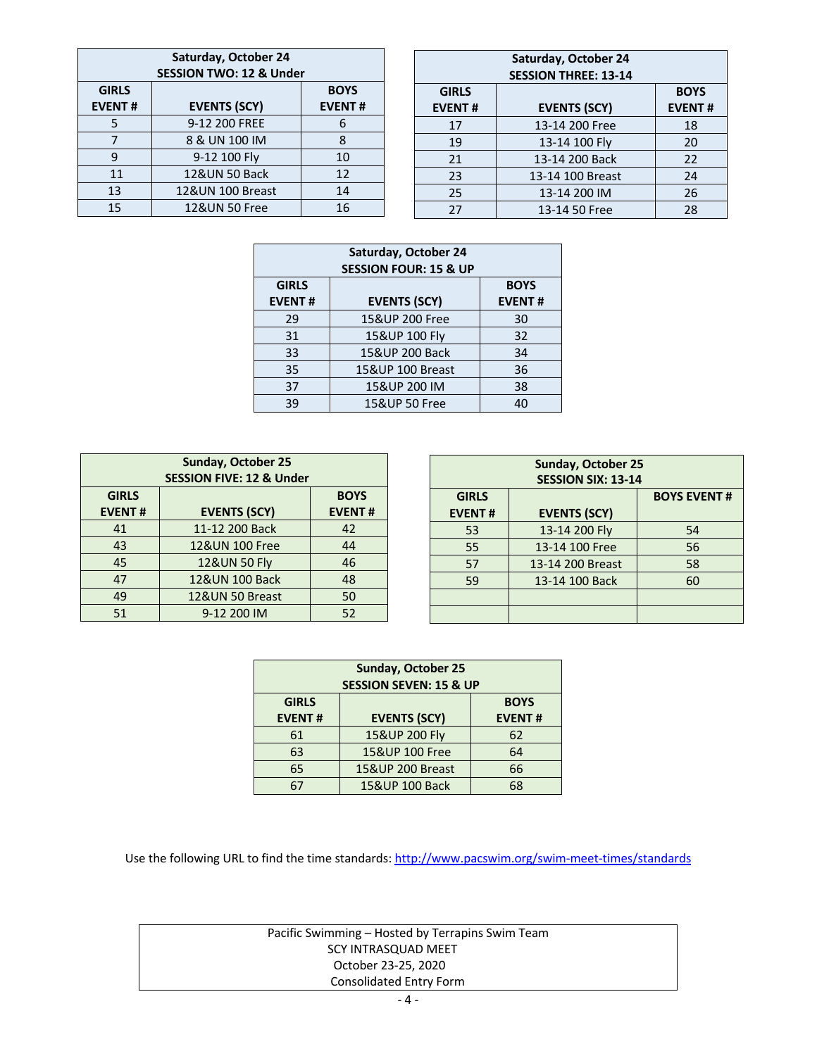| Saturday, October 24<br><b>SESSION TWO: 12 &amp; Under</b> |                     |               |  |  |  |  |  |  |  |
|------------------------------------------------------------|---------------------|---------------|--|--|--|--|--|--|--|
| <b>GIRLS</b>                                               | <b>BOYS</b>         |               |  |  |  |  |  |  |  |
| <b>EVENT#</b>                                              | <b>EVENTS (SCY)</b> | <b>EVENT#</b> |  |  |  |  |  |  |  |
| 5                                                          | 9-12 200 FREE       | 6             |  |  |  |  |  |  |  |
| 7                                                          | 8 & UN 100 IM       | 8             |  |  |  |  |  |  |  |
| 9                                                          | 9-12 100 Fly        | 10            |  |  |  |  |  |  |  |
| 11                                                         | 12&UN 50 Back       | 12            |  |  |  |  |  |  |  |
| 13                                                         | 12&UN 100 Breast    | 14            |  |  |  |  |  |  |  |
| 15                                                         | 12&UN 50 Free       | 16            |  |  |  |  |  |  |  |

| Saturday, October 24<br><b>SESSION THREE: 13-14</b> |                     |                              |  |  |  |  |  |
|-----------------------------------------------------|---------------------|------------------------------|--|--|--|--|--|
| <b>GIRLS</b><br><b>EVENT#</b>                       | <b>EVENTS (SCY)</b> | <b>BOYS</b><br><b>EVENT#</b> |  |  |  |  |  |
| 17                                                  | 13-14 200 Free      | 18                           |  |  |  |  |  |
| 19                                                  | 13-14 100 Fly       | 20                           |  |  |  |  |  |
| 21                                                  | 13-14 200 Back      | 22                           |  |  |  |  |  |
| 23                                                  | 13-14 100 Breast    | 24                           |  |  |  |  |  |
| 25                                                  | 13-14 200 IM        | 26                           |  |  |  |  |  |
| 27                                                  | 13-14 50 Free       | 28                           |  |  |  |  |  |

| Saturday, October 24<br><b>SESSION FOUR: 15 &amp; UP</b>                             |                  |    |  |  |  |  |  |  |
|--------------------------------------------------------------------------------------|------------------|----|--|--|--|--|--|--|
| <b>GIRLS</b><br><b>BOYS</b><br><b>EVENTS (SCY)</b><br><b>EVENT#</b><br><b>EVENT#</b> |                  |    |  |  |  |  |  |  |
| 29                                                                                   | 15&UP 200 Free   | 30 |  |  |  |  |  |  |
| 31                                                                                   | 15&UP 100 Fly    | 32 |  |  |  |  |  |  |
| 33                                                                                   | 15& UP 200 Back  | 34 |  |  |  |  |  |  |
| 35                                                                                   | 15&UP 100 Breast | 36 |  |  |  |  |  |  |
| 37                                                                                   | 15&UP 200 IM     | 38 |  |  |  |  |  |  |
| 39                                                                                   | 15&UP 50 Free    | 40 |  |  |  |  |  |  |

| Sunday, October 25<br><b>SESSION FIVE: 12 &amp; Under</b>                            |                 |    |  |  |  |  |  |  |
|--------------------------------------------------------------------------------------|-----------------|----|--|--|--|--|--|--|
| <b>GIRLS</b><br><b>BOYS</b><br><b>EVENTS (SCY)</b><br><b>EVENT#</b><br><b>EVENT#</b> |                 |    |  |  |  |  |  |  |
| 41                                                                                   | 11-12 200 Back  | 42 |  |  |  |  |  |  |
| 43                                                                                   | 12&UN 100 Free  | 44 |  |  |  |  |  |  |
| 45                                                                                   | 12&UN 50 Fly    | 46 |  |  |  |  |  |  |
| 47                                                                                   | 12&UN 100 Back  | 48 |  |  |  |  |  |  |
| 49                                                                                   | 12&UN 50 Breast | 50 |  |  |  |  |  |  |
| 51                                                                                   | 9-12 200 IM     | 52 |  |  |  |  |  |  |

| <b>Sunday, October 25</b><br><b>SESSION SIX: 13-14</b> |                     |    |  |  |  |  |  |  |
|--------------------------------------------------------|---------------------|----|--|--|--|--|--|--|
| <b>GIRLS</b>                                           | <b>BOYS EVENT#</b>  |    |  |  |  |  |  |  |
| <b>EVENT#</b>                                          | <b>EVENTS (SCY)</b> |    |  |  |  |  |  |  |
| 53                                                     | 13-14 200 Fly       | 54 |  |  |  |  |  |  |
| 55                                                     | 13-14 100 Free      | 56 |  |  |  |  |  |  |
| 57                                                     | 13-14 200 Breast    | 58 |  |  |  |  |  |  |
| 59                                                     | 13-14 100 Back      | 60 |  |  |  |  |  |  |
|                                                        |                     |    |  |  |  |  |  |  |
|                                                        |                     |    |  |  |  |  |  |  |

| <b>Sunday, October 25</b><br><b>SESSION SEVEN: 15 &amp; UP</b> |                  |    |  |  |  |  |  |  |
|----------------------------------------------------------------|------------------|----|--|--|--|--|--|--|
| <b>GIRLS</b>                                                   | <b>BOYS</b>      |    |  |  |  |  |  |  |
| <b>EVENT#</b>                                                  | <b>EVENT#</b>    |    |  |  |  |  |  |  |
| 61                                                             | 15&UP 200 Fly    | 62 |  |  |  |  |  |  |
| 63                                                             | 15&UP 100 Free   | 64 |  |  |  |  |  |  |
| 65                                                             | 15&UP 200 Breast | 66 |  |  |  |  |  |  |
| 67                                                             | 15& UP 100 Back  | 68 |  |  |  |  |  |  |

Use the following URL to find the time standards: http://www.pacswim.org/swim-meet-times/standards

| Pacific Swimming – Hosted by Terrapins Swim Team |
|--------------------------------------------------|
| SCY INTRASQUAD MEET                              |
| October 23-25, 2020                              |
| Consolidated Entry Form                          |